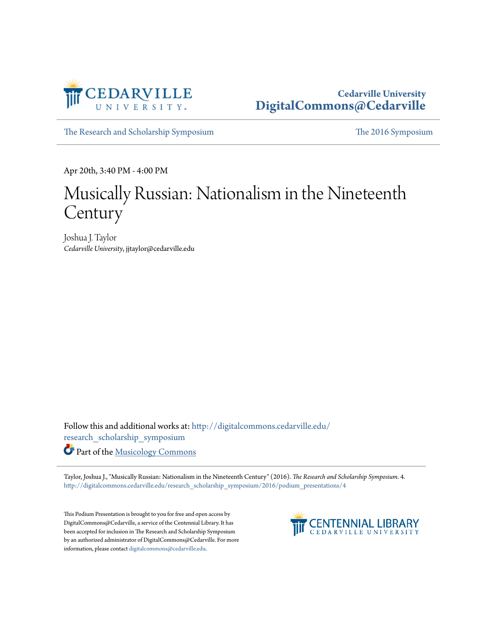

## **Cedarville University [DigitalCommons@Cedarville](http://digitalcommons.cedarville.edu?utm_source=digitalcommons.cedarville.edu%2Fresearch_scholarship_symposium%2F2016%2Fpodium_presentations%2F4&utm_medium=PDF&utm_campaign=PDFCoverPages)**

[The Research and Scholarship Symposium](http://digitalcommons.cedarville.edu/research_scholarship_symposium?utm_source=digitalcommons.cedarville.edu%2Fresearch_scholarship_symposium%2F2016%2Fpodium_presentations%2F4&utm_medium=PDF&utm_campaign=PDFCoverPages) [The 2016 Symposium](http://digitalcommons.cedarville.edu/research_scholarship_symposium/2016?utm_source=digitalcommons.cedarville.edu%2Fresearch_scholarship_symposium%2F2016%2Fpodium_presentations%2F4&utm_medium=PDF&utm_campaign=PDFCoverPages)

Apr 20th, 3:40 PM - 4:00 PM

## Musically Russian: Nationalism in the Nineteenth **Century**

Joshua J. Taylor *Cedarville University*, jjtaylor@cedarville.edu

Follow this and additional works at: [http://digitalcommons.cedarville.edu/](http://digitalcommons.cedarville.edu/research_scholarship_symposium?utm_source=digitalcommons.cedarville.edu%2Fresearch_scholarship_symposium%2F2016%2Fpodium_presentations%2F4&utm_medium=PDF&utm_campaign=PDFCoverPages) [research\\_scholarship\\_symposium](http://digitalcommons.cedarville.edu/research_scholarship_symposium?utm_source=digitalcommons.cedarville.edu%2Fresearch_scholarship_symposium%2F2016%2Fpodium_presentations%2F4&utm_medium=PDF&utm_campaign=PDFCoverPages)

Part of the [Musicology Commons](http://network.bepress.com/hgg/discipline/521?utm_source=digitalcommons.cedarville.edu%2Fresearch_scholarship_symposium%2F2016%2Fpodium_presentations%2F4&utm_medium=PDF&utm_campaign=PDFCoverPages)

Taylor, Joshua J., "Musically Russian: Nationalism in the Nineteenth Century" (2016). *The Research and Scholarship Symposium*. 4. [http://digitalcommons.cedarville.edu/research\\_scholarship\\_symposium/2016/podium\\_presentations/4](http://digitalcommons.cedarville.edu/research_scholarship_symposium/2016/podium_presentations/4?utm_source=digitalcommons.cedarville.edu%2Fresearch_scholarship_symposium%2F2016%2Fpodium_presentations%2F4&utm_medium=PDF&utm_campaign=PDFCoverPages)

This Podium Presentation is brought to you for free and open access by DigitalCommons@Cedarville, a service of the Centennial Library. It has been accepted for inclusion in The Research and Scholarship Symposium by an authorized administrator of DigitalCommons@Cedarville. For more information, please contact [digitalcommons@cedarville.edu.](mailto:digitalcommons@cedarville.edu)

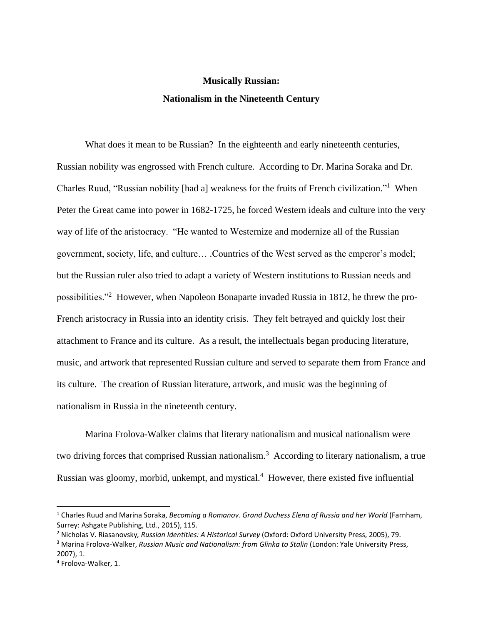## **Musically Russian: Nationalism in the Nineteenth Century**

What does it mean to be Russian? In the eighteenth and early nineteenth centuries, Russian nobility was engrossed with French culture. According to Dr. Marina Soraka and Dr. Charles Ruud, "Russian nobility [had a] weakness for the fruits of French civilization."<sup>1</sup> When Peter the Great came into power in 1682-1725, he forced Western ideals and culture into the very way of life of the aristocracy. "He wanted to Westernize and modernize all of the Russian government, society, life, and culture… .Countries of the West served as the emperor's model; but the Russian ruler also tried to adapt a variety of Western institutions to Russian needs and possibilities."<sup>2</sup> However, when Napoleon Bonaparte invaded Russia in 1812, he threw the pro-French aristocracy in Russia into an identity crisis. They felt betrayed and quickly lost their attachment to France and its culture. As a result, the intellectuals began producing literature, music, and artwork that represented Russian culture and served to separate them from France and its culture. The creation of Russian literature, artwork, and music was the beginning of nationalism in Russia in the nineteenth century.

Marina Frolova-Walker claims that literary nationalism and musical nationalism were two driving forces that comprised Russian nationalism.<sup>3</sup> According to literary nationalism, a true Russian was gloomy, morbid, unkempt, and mystical.<sup>4</sup> However, there existed five influential

l

<sup>1</sup> Charles Ruud and Marina Soraka, *Becoming a Romanov. Grand Duchess Elena of Russia and her World* (Farnham, Surrey: Ashgate Publishing, Ltd., 2015), 115.

<sup>2</sup> Nicholas V. Riasanovsky*, Russian Identities: A Historical Survey* (Oxford: Oxford University Press, 2005), 79.

<sup>3</sup> Marina Frolova-Walker, *Russian Music and Nationalism: from Glinka to Stalin* (London: Yale University Press, 2007), 1.

<sup>4</sup> Frolova-Walker, 1.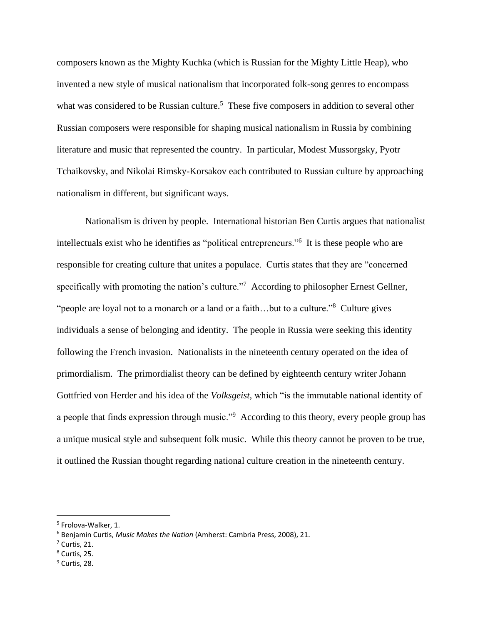composers known as the Mighty Kuchka (which is Russian for the Mighty Little Heap), who invented a new style of musical nationalism that incorporated folk-song genres to encompass what was considered to be Russian culture.<sup>5</sup> These five composers in addition to several other Russian composers were responsible for shaping musical nationalism in Russia by combining literature and music that represented the country. In particular, Modest Mussorgsky, Pyotr Tchaikovsky, and Nikolai Rimsky-Korsakov each contributed to Russian culture by approaching nationalism in different, but significant ways.

Nationalism is driven by people. International historian Ben Curtis argues that nationalist intellectuals exist who he identifies as "political entrepreneurs."<sup>6</sup> It is these people who are responsible for creating culture that unites a populace. Curtis states that they are "concerned specifically with promoting the nation's culture."<sup>7</sup> According to philosopher Ernest Gellner, "people are loyal not to a monarch or a land or a faith...but to a culture."<sup>8</sup> Culture gives individuals a sense of belonging and identity. The people in Russia were seeking this identity following the French invasion. Nationalists in the nineteenth century operated on the idea of primordialism. The primordialist theory can be defined by eighteenth century writer Johann Gottfried von Herder and his idea of the *Volksgeist,* which "is the immutable national identity of a people that finds expression through music."<sup>9</sup> According to this theory, every people group has a unique musical style and subsequent folk music. While this theory cannot be proven to be true, it outlined the Russian thought regarding national culture creation in the nineteenth century.

 $\overline{\phantom{a}}$ 

 $8$  Curtis, 25.

<sup>&</sup>lt;sup>5</sup> Frolova-Walker, 1.

<sup>6</sup> Benjamin Curtis, *Music Makes the Nation* (Amherst: Cambria Press, 2008), 21.

 $<sup>7</sup>$  Curtis, 21.</sup>

<sup>&</sup>lt;sup>9</sup> Curtis, 28.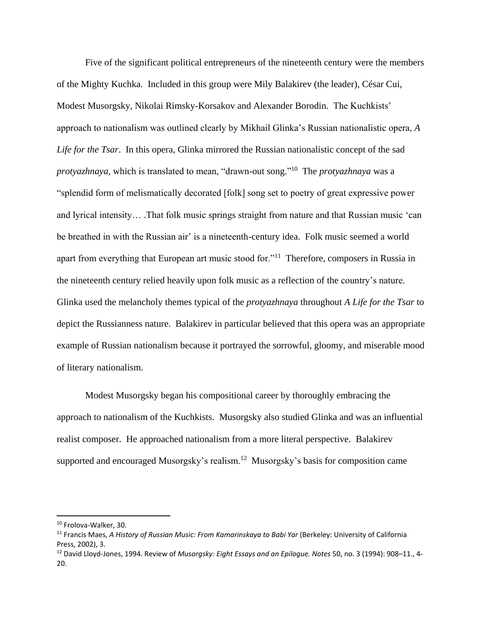Five of the significant political entrepreneurs of the nineteenth century were the members of the Mighty Kuchka. Included in this group were Mily Balakirev (the leader), César Cui, Modest Musorgsky, Nikolai Rimsky-Korsakov and Alexander Borodin. The Kuchkists' approach to nationalism was outlined clearly by Mikhail Glinka's Russian nationalistic opera, *A Life for the Tsar*. In this opera, Glinka mirrored the Russian nationalistic concept of the sad *protyazhnaya,* which is translated to mean, "drawn-out song." 10 The *protyazhnaya* was a "splendid form of melismatically decorated [folk] song set to poetry of great expressive power and lyrical intensity… .That folk music springs straight from nature and that Russian music 'can be breathed in with the Russian air' is a nineteenth-century idea. Folk music seemed a world apart from everything that European art music stood for."<sup>11</sup> Therefore, composers in Russia in the nineteenth century relied heavily upon folk music as a reflection of the country's nature. Glinka used the melancholy themes typical of the *protyazhnaya* throughout *A Life for the Tsar* to depict the Russianness nature. Balakirev in particular believed that this opera was an appropriate example of Russian nationalism because it portrayed the sorrowful, gloomy, and miserable mood of literary nationalism.

Modest Musorgsky began his compositional career by thoroughly embracing the approach to nationalism of the Kuchkists. Musorgsky also studied Glinka and was an influential realist composer. He approached nationalism from a more literal perspective. Balakirev supported and encouraged Musorgsky's realism.<sup>12</sup> Musorgsky's basis for composition came

<sup>10</sup> Frolova-Walker, 30.

<sup>11</sup> Francis Maes, *A History of Russian Music: From Kamarinskaya to Babi Yar* (Berkeley: University of California Press, 2002), 3.

<sup>12</sup> David Lloyd-Jones, 1994. Review of *Musorgsky: Eight Essays and an Epilogue. Notes* 50, no. 3 (1994): 908–11., 4- 20.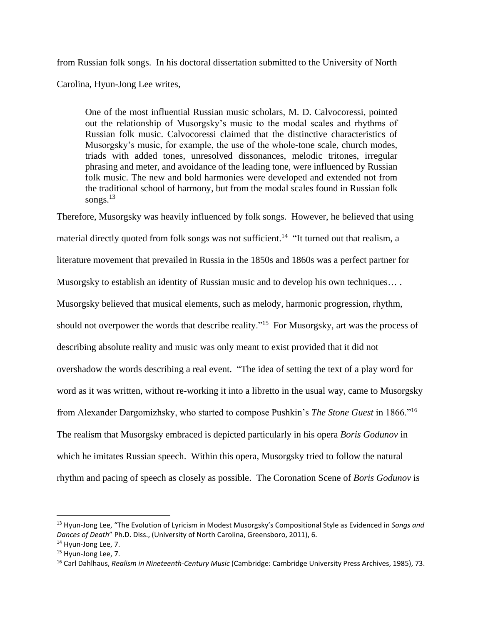from Russian folk songs. In his doctoral dissertation submitted to the University of North

Carolina, Hyun-Jong Lee writes,

One of the most influential Russian music scholars, M. D. Calvocoressi, pointed out the relationship of Musorgsky's music to the modal scales and rhythms of Russian folk music. Calvocoressi claimed that the distinctive characteristics of Musorgsky's music, for example, the use of the whole-tone scale, church modes, triads with added tones, unresolved dissonances, melodic tritones, irregular phrasing and meter, and avoidance of the leading tone, were influenced by Russian folk music. The new and bold harmonies were developed and extended not from the traditional school of harmony, but from the modal scales found in Russian folk songs. $^{13}$ 

Therefore, Musorgsky was heavily influenced by folk songs. However, he believed that using material directly quoted from folk songs was not sufficient.<sup>14</sup> "It turned out that realism, a literature movement that prevailed in Russia in the 1850s and 1860s was a perfect partner for Musorgsky to establish an identity of Russian music and to develop his own techniques… . Musorgsky believed that musical elements, such as melody, harmonic progression, rhythm, should not overpower the words that describe reality."<sup>15</sup> For Musorgsky, art was the process of describing absolute reality and music was only meant to exist provided that it did not overshadow the words describing a real event. "The idea of setting the text of a play word for word as it was written, without re-working it into a libretto in the usual way, came to Musorgsky from Alexander Dargomizhsky, who started to compose Pushkin's *The Stone Guest* in 1866."<sup>16</sup> The realism that Musorgsky embraced is depicted particularly in his opera *Boris Godunov* in which he imitates Russian speech. Within this opera, Musorgsky tried to follow the natural rhythm and pacing of speech as closely as possible. The Coronation Scene of *Boris Godunov* is

<sup>13</sup> Hyun-Jong Lee, "The Evolution of Lyricism in Modest Musorgsky's Compositional Style as Evidenced in *Songs and Dances of Death*" Ph.D. Diss., (University of North Carolina, Greensboro, 2011), 6.

<sup>&</sup>lt;sup>14</sup> Hyun-Jong Lee, 7.

<sup>15</sup> Hyun-Jong Lee, 7.

<sup>16</sup> Carl Dahlhaus, *Realism in Nineteenth-Century Music* (Cambridge: Cambridge University Press Archives, 1985), 73.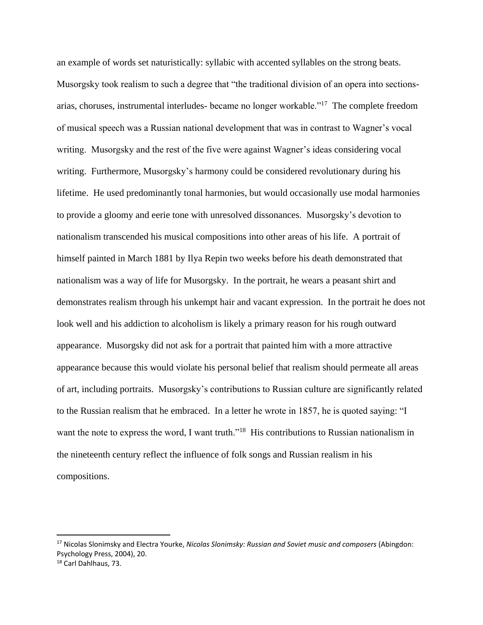an example of words set naturistically: syllabic with accented syllables on the strong beats. Musorgsky took realism to such a degree that "the traditional division of an opera into sectionsarias, choruses, instrumental interludes- became no longer workable."<sup>17</sup> The complete freedom of musical speech was a Russian national development that was in contrast to Wagner's vocal writing. Musorgsky and the rest of the five were against Wagner's ideas considering vocal writing. Furthermore, Musorgsky's harmony could be considered revolutionary during his lifetime. He used predominantly tonal harmonies, but would occasionally use modal harmonies to provide a gloomy and eerie tone with unresolved dissonances. Musorgsky's devotion to nationalism transcended his musical compositions into other areas of his life. A portrait of himself painted in March 1881 by Ilya Repin two weeks before his death demonstrated that nationalism was a way of life for Musorgsky. In the portrait, he wears a peasant shirt and demonstrates realism through his unkempt hair and vacant expression. In the portrait he does not look well and his addiction to alcoholism is likely a primary reason for his rough outward appearance. Musorgsky did not ask for a portrait that painted him with a more attractive appearance because this would violate his personal belief that realism should permeate all areas of art, including portraits. Musorgsky's contributions to Russian culture are significantly related to the Russian realism that he embraced. In a letter he wrote in 1857, he is quoted saying: "I want the note to express the word, I want truth."<sup>18</sup> His contributions to Russian nationalism in the nineteenth century reflect the influence of folk songs and Russian realism in his compositions.

<sup>17</sup> Nicolas Slonimsky and Electra Yourke, *Nicolas Slonimsky: Russian and Soviet music and composers* (Abingdon: Psychology Press, 2004), 20.

<sup>18</sup> Carl Dahlhaus, 73.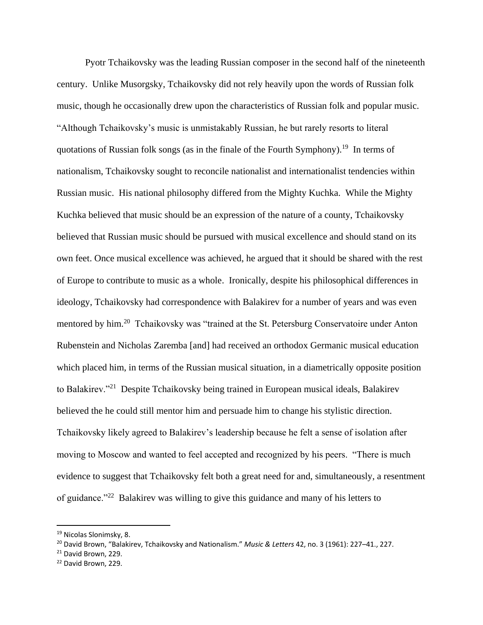Pyotr Tchaikovsky was the leading Russian composer in the second half of the nineteenth century. Unlike Musorgsky, Tchaikovsky did not rely heavily upon the words of Russian folk music, though he occasionally drew upon the characteristics of Russian folk and popular music. "Although Tchaikovsky's music is unmistakably Russian, he but rarely resorts to literal quotations of Russian folk songs (as in the finale of the Fourth Symphony).<sup>19</sup> In terms of nationalism, Tchaikovsky sought to reconcile nationalist and internationalist tendencies within Russian music. His national philosophy differed from the Mighty Kuchka. While the Mighty Kuchka believed that music should be an expression of the nature of a county, Tchaikovsky believed that Russian music should be pursued with musical excellence and should stand on its own feet. Once musical excellence was achieved, he argued that it should be shared with the rest of Europe to contribute to music as a whole. Ironically, despite his philosophical differences in ideology, Tchaikovsky had correspondence with Balakirev for a number of years and was even mentored by him.<sup>20</sup> Tchaikovsky was "trained at the St. Petersburg Conservatoire under Anton Rubenstein and Nicholas Zaremba [and] had received an orthodox Germanic musical education which placed him, in terms of the Russian musical situation, in a diametrically opposite position to Balakirev."<sup>21</sup> Despite Tchaikovsky being trained in European musical ideals, Balakirev believed the he could still mentor him and persuade him to change his stylistic direction. Tchaikovsky likely agreed to Balakirev's leadership because he felt a sense of isolation after moving to Moscow and wanted to feel accepted and recognized by his peers. "There is much evidence to suggest that Tchaikovsky felt both a great need for and, simultaneously, a resentment of guidance."<sup>22</sup> Balakirev was willing to give this guidance and many of his letters to

 $\overline{a}$ 

<sup>19</sup> Nicolas Slonimsky, 8.

<sup>20</sup> David Brown, "Balakirev, Tchaikovsky and Nationalism." *Music & Letters* 42, no. 3 (1961): 227–41., 227.

<sup>21</sup> David Brown, 229.

<sup>22</sup> David Brown, 229.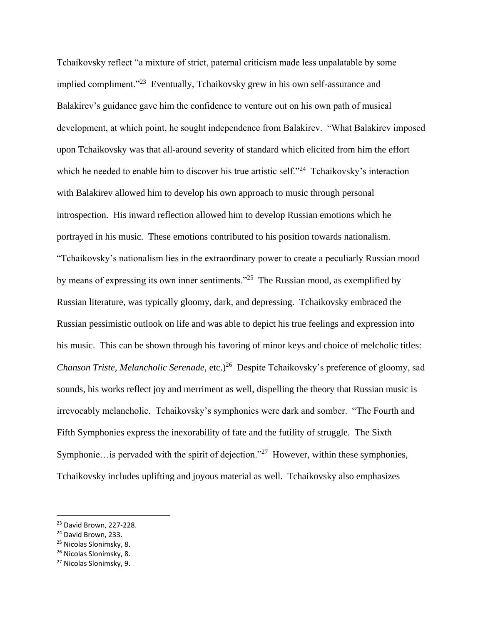Tchaikovsky reflect "a mixture of strict, paternal criticism made less unpalatable by some implied compliment."<sup>23</sup> Eventually, Tchaikovsky grew in his own self-assurance and Balakirev's guidance gave him the confidence to venture out on his own path of musical development, at which point, he sought independence from Balakirev. "What Balakirev imposed upon Tchaikovsky was that all-around severity of standard which elicited from him the effort which he needed to enable him to discover his true artistic self."<sup>24</sup> Tchaikovsky's interaction with Balakirev allowed him to develop his own approach to music through personal introspection. His inward reflection allowed him to develop Russian emotions which he portrayed in his music. These emotions contributed to his position towards nationalism. "Tchaikovsky's nationalism lies in the extraordinary power to create a peculiarly Russian mood by means of expressing its own inner sentiments."<sup>25</sup> The Russian mood, as exemplified by Russian literature, was typically gloomy, dark, and depressing. Tchaikovsky embraced the Russian pessimistic outlook on life and was able to depict his true feelings and expression into his music. This can be shown through his favoring of minor keys and choice of melcholic titles: Chanson Triste, Melancholic Serenade, etc.)<sup>26</sup> Despite Tchaikovsky's preference of gloomy, sad sounds, his works reflect joy and merriment as well, dispelling the theory that Russian music is irrevocably melancholic. Tchaikovsky's symphonies were dark and somber. "The Fourth and Fifth Symphonies express the inexorability of fate and the futility of struggle. The Sixth Symphonie... is pervaded with the spirit of dejection."<sup>27</sup> However, within these symphonies, Tchaikovsky includes uplifting and joyous material as well. Tchaikovsky also emphasizes

<sup>23</sup> David Brown, 227-228.

<sup>&</sup>lt;sup>24</sup> David Brown, 233.

<sup>25</sup> Nicolas Slonimsky, 8.

<sup>26</sup> Nicolas Slonimsky, 8.

<sup>27</sup> Nicolas Slonimsky, 9.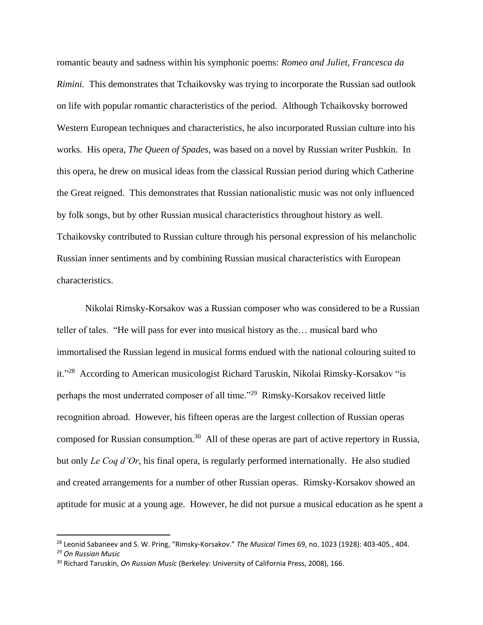romantic beauty and sadness within his symphonic poems: *Romeo and Juliet, Francesca da Rimini.* This demonstrates that Tchaikovsky was trying to incorporate the Russian sad outlook on life with popular romantic characteristics of the period. Although Tchaikovsky borrowed Western European techniques and characteristics, he also incorporated Russian culture into his works. His opera, *The Queen of Spades,* was based on a novel by Russian writer Pushkin. In this opera, he drew on musical ideas from the classical Russian period during which Catherine the Great reigned. This demonstrates that Russian nationalistic music was not only influenced by folk songs, but by other Russian musical characteristics throughout history as well. Tchaikovsky contributed to Russian culture through his personal expression of his melancholic Russian inner sentiments and by combining Russian musical characteristics with European characteristics.

Nikolai Rimsky-Korsakov was a Russian composer who was considered to be a Russian teller of tales. "He will pass for ever into musical history as the… musical bard who immortalised the Russian legend in musical forms endued with the national colouring suited to it."<sup>28</sup> According to American musicologist Richard Taruskin, Nikolai Rimsky-Korsakov "is perhaps the most underrated composer of all time."<sup>29</sup> Rimsky-Korsakov received little recognition abroad. However, his fifteen operas are the largest collection of Russian operas composed for Russian consumption.<sup>30</sup> All of these operas are part of active repertory in Russia, but only *Le Coq d'Or*, his final opera, is regularly performed internationally. He also studied and created arrangements for a number of other Russian operas. Rimsky-Korsakov showed an aptitude for music at a young age. However, he did not pursue a musical education as he spent a

<sup>28</sup> Leonid Sabaneev and S. W. Pring, "Rimsky-Korsakov." *The Musical Times* 69, no. 1023 (1928): 403-405., 404.

<sup>29</sup> *On Russian Music*

<sup>30</sup> Richard Taruskin, *On Russian Music* (Berkeley: University of California Press, 2008), 166.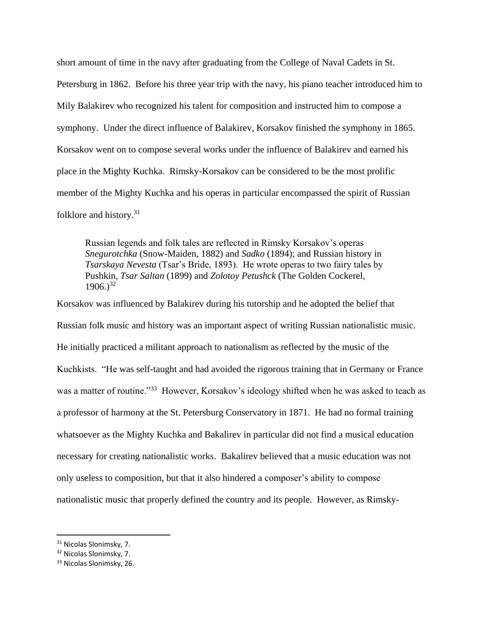short amount of time in the navy after graduating from the College of Naval Cadets in St. Petersburg in 1862. Before his three year trip with the navy, his piano teacher introduced him to Mily Balakirev who recognized his talent for composition and instructed him to compose a symphony. Under the direct influence of Balakirev, Korsakov finished the symphony in 1865. Korsakov went on to compose several works under the influence of Balakirev and earned his place in the Mighty Kuchka. Rimsky-Korsakov can be considered to be the most prolific member of the Mighty Kuchka and his operas in particular encompassed the spirit of Russian folklore and history.<sup>31</sup>

Russian legends and folk tales are reflected in Rimsky Korsakov's operas *Snegurotchka* (Snow-Maiden, 1882) and *Sadko* (1894); and Russian history in *Tsarskaya Nevesta* (Tsar's Bride, 1893). He wrote operas to two fairy tales by Pushkin, *Tsar Saltan* (1899) and *Zolotoy Petushck* (The Golden Cockerel,  $1906.$ <sup>32</sup>

Korsakov was influenced by Balakirev during his tutorship and he adopted the belief that Russian folk music and history was an important aspect of writing Russian nationalistic music. He initially practiced a militant approach to nationalism as reflected by the music of the Kuchkists. "He was self-taught and had avoided the rigorous training that in Germany or France was a matter of routine."<sup>33</sup> However, Korsakov's ideology shifted when he was asked to teach as a professor of harmony at the St. Petersburg Conservatory in 1871. He had no formal training whatsoever as the Mighty Kuchka and Bakalirev in particular did not find a musical education necessary for creating nationalistic works. Bakalirev believed that a music education was not only useless to composition, but that it also hindered a composer's ability to compose nationalistic music that properly defined the country and its people. However, as Rimsky-

<sup>31</sup> Nicolas Slonimsky, 7.

<sup>32</sup> Nicolas Slonimsky, 7.

<sup>33</sup> Nicolas Slonimsky, 26.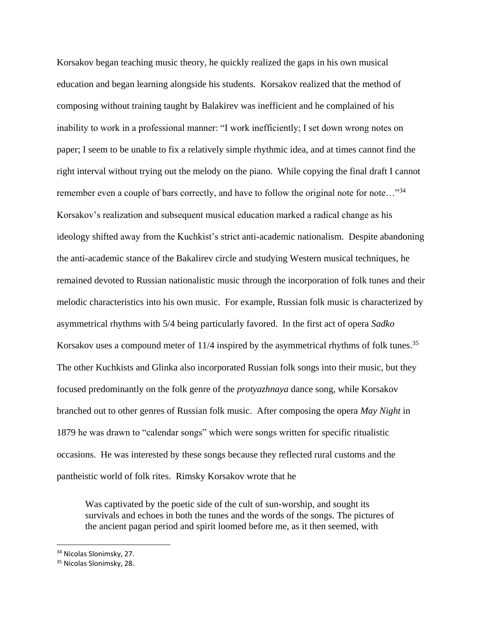Korsakov began teaching music theory, he quickly realized the gaps in his own musical education and began learning alongside his students. Korsakov realized that the method of composing without training taught by Balakirev was inefficient and he complained of his inability to work in a professional manner: "I work inefficiently; I set down wrong notes on paper; I seem to be unable to fix a relatively simple rhythmic idea, and at times cannot find the right interval without trying out the melody on the piano. While copying the final draft I cannot remember even a couple of bars correctly, and have to follow the original note for note..."<sup>34</sup> Korsakov's realization and subsequent musical education marked a radical change as his ideology shifted away from the Kuchkist's strict anti-academic nationalism. Despite abandoning the anti-academic stance of the Bakalirev circle and studying Western musical techniques, he remained devoted to Russian nationalistic music through the incorporation of folk tunes and their melodic characteristics into his own music. For example, Russian folk music is characterized by asymmetrical rhythms with 5/4 being particularly favored. In the first act of opera *Sadko* Korsakov uses a compound meter of  $11/4$  inspired by the asymmetrical rhythms of folk tunes.<sup>35</sup> The other Kuchkists and Glinka also incorporated Russian folk songs into their music, but they focused predominantly on the folk genre of the *protyazhnaya* dance song, while Korsakov branched out to other genres of Russian folk music. After composing the opera *May Night* in 1879 he was drawn to "calendar songs" which were songs written for specific ritualistic occasions. He was interested by these songs because they reflected rural customs and the pantheistic world of folk rites. Rimsky Korsakov wrote that he

Was captivated by the poetic side of the cult of sun-worship, and sought its survivals and echoes in both the tunes and the words of the songs. The pictures of the ancient pagan period and spirit loomed before me, as it then seemed, with

<sup>34</sup> Nicolas Slonimsky, 27.

<sup>&</sup>lt;sup>35</sup> Nicolas Slonimsky, 28.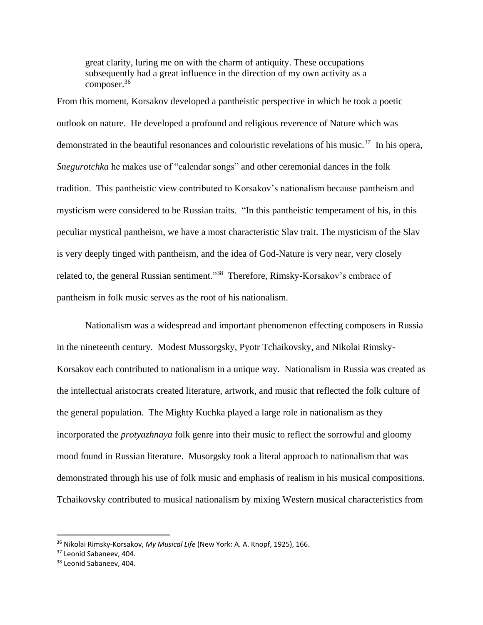great clarity, luring me on with the charm of antiquity. These occupations subsequently had a great influence in the direction of my own activity as a composer.<sup>36</sup>

From this moment, Korsakov developed a pantheistic perspective in which he took a poetic outlook on nature. He developed a profound and religious reverence of Nature which was demonstrated in the beautiful resonances and colouristic revelations of his music.<sup>37</sup> In his opera, *Snegurotchka* he makes use of "calendar songs" and other ceremonial dances in the folk tradition. This pantheistic view contributed to Korsakov's nationalism because pantheism and mysticism were considered to be Russian traits. "In this pantheistic temperament of his, in this peculiar mystical pantheism, we have a most characteristic Slav trait. The mysticism of the Slav is very deeply tinged with pantheism, and the idea of God-Nature is very near, very closely related to, the general Russian sentiment."<sup>38</sup> Therefore, Rimsky-Korsakov's embrace of pantheism in folk music serves as the root of his nationalism.

Nationalism was a widespread and important phenomenon effecting composers in Russia in the nineteenth century. Modest Mussorgsky, Pyotr Tchaikovsky, and Nikolai Rimsky-Korsakov each contributed to nationalism in a unique way. Nationalism in Russia was created as the intellectual aristocrats created literature, artwork, and music that reflected the folk culture of the general population. The Mighty Kuchka played a large role in nationalism as they incorporated the *protyazhnaya* folk genre into their music to reflect the sorrowful and gloomy mood found in Russian literature. Musorgsky took a literal approach to nationalism that was demonstrated through his use of folk music and emphasis of realism in his musical compositions. Tchaikovsky contributed to musical nationalism by mixing Western musical characteristics from

<sup>36</sup> Nikolai Rimsky-Korsakov, *My Musical Life* (New York: A. A. Knopf, 1925), 166.

<sup>&</sup>lt;sup>37</sup> Leonid Sabaneev, 404.

<sup>38</sup> Leonid Sabaneev, 404.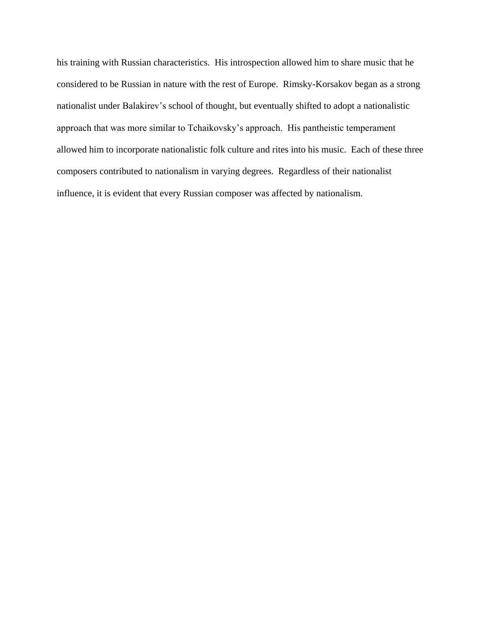his training with Russian characteristics. His introspection allowed him to share music that he considered to be Russian in nature with the rest of Europe. Rimsky-Korsakov began as a strong nationalist under Balakirev's school of thought, but eventually shifted to adopt a nationalistic approach that was more similar to Tchaikovsky's approach. His pantheistic temperament allowed him to incorporate nationalistic folk culture and rites into his music. Each of these three composers contributed to nationalism in varying degrees. Regardless of their nationalist influence, it is evident that every Russian composer was affected by nationalism.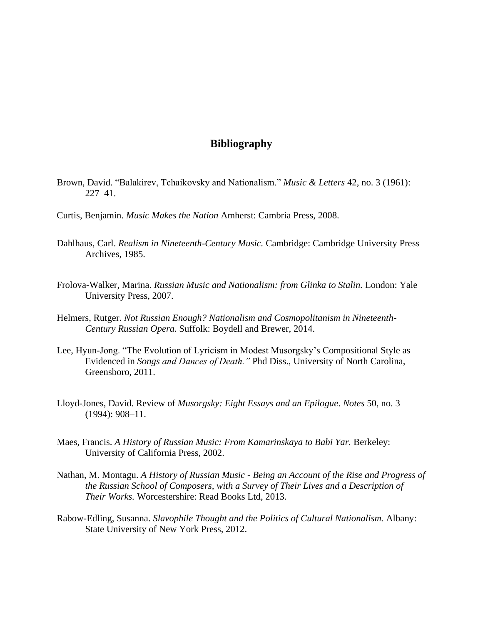## **Bibliography**

- Brown, David. "Balakirev, Tchaikovsky and Nationalism." *Music & Letters* 42, no. 3 (1961): 227–41.
- Curtis, Benjamin. *Music Makes the Nation* Amherst: Cambria Press, 2008.
- Dahlhaus, Carl. *Realism in Nineteenth-Century Music.* Cambridge: Cambridge University Press Archives, 1985.
- Frolova-Walker, Marina. *Russian Music and Nationalism: from Glinka to Stalin.* London: Yale University Press, 2007.
- Helmers, Rutger. *Not Russian Enough? Nationalism and Cosmopolitanism in Nineteenth-Century Russian Opera.* Suffolk: Boydell and Brewer, 2014.
- Lee, Hyun-Jong. "The Evolution of Lyricism in Modest Musorgsky's Compositional Style as Evidenced in *Songs and Dances of Death."* Phd Diss., University of North Carolina, Greensboro, 2011.
- Lloyd-Jones, David. Review of *Musorgsky: Eight Essays and an Epilogue*. *Notes* 50, no. 3 (1994): 908–11.
- Maes, Francis. *A History of Russian Music: From Kamarinskaya to Babi Yar.* Berkeley: University of California Press, 2002.
- Nathan, M. Montagu. *A History of Russian Music - Being an Account of the Rise and Progress of the Russian School of Composers, with a Survey of Their Lives and a Description of Their Works.* Worcestershire: Read Books Ltd, 2013.
- Rabow-Edling, Susanna. *Slavophile Thought and the Politics of Cultural Nationalism.* Albany: State University of New York Press, 2012.